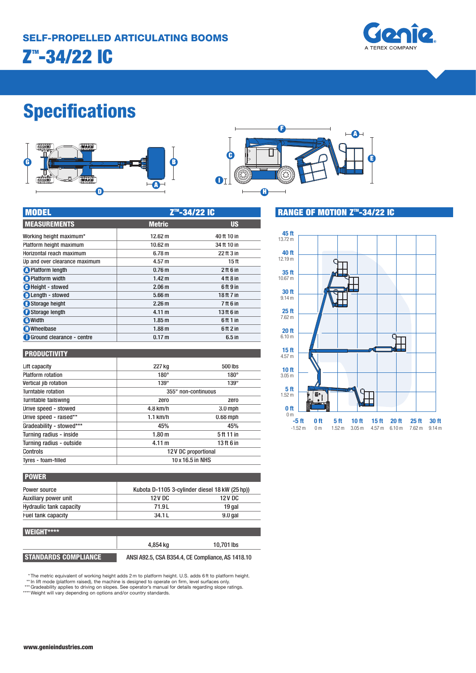

# **Specifications**





| <b>MODEL</b>                  | Z <sup>™</sup> -34/22 IC |                  |  |
|-------------------------------|--------------------------|------------------|--|
| <b>MEASUREMENTS</b>           | <b>Metric</b>            | <b>US</b>        |  |
| Working height maximum*       | 12.62 m                  | 40 ft 10 in      |  |
| Platform height maximum       | 10.62 m                  | 34 ft 10 in      |  |
| Horizontal reach maximum      | 6.78 <sub>m</sub>        | 22 ft 3 in       |  |
| Up and over clearance maximum | 4.57 m                   | 15 <sub>ft</sub> |  |
| <b>O</b> Platform length      | 0.76 <sub>m</sub>        | $2$ ft 6 in      |  |
| <b>B</b> Platform width       | 1.42 <sub>m</sub>        | 4 ft 8 in        |  |
| <b>C</b> Height - stowed      | 2.06 <sub>m</sub>        | 6ft 9 in         |  |
| <b>D</b> Length - stowed      | 5.66 <sub>m</sub>        | 18 ft 7 in       |  |
| Storage height                | 2.26 <sub>m</sub>        | 7 ft 6 in        |  |
| Storage length                | 4.11 m                   | 13 ft 6 in       |  |
| <b>O</b> Width                | 1.85 <sub>m</sub>        | 6 ft 1 in        |  |
| <b>C</b> Wheelbase            | 1.88 <sub>m</sub>        | 6 ft 2 in        |  |
| Ground clearance - centre     | 0.17 <sub>m</sub>        | $6.5$ in         |  |

#### **PRODUCTIVITY**

| Lift capacity            | 227 kg              | 500 lbs     |
|--------------------------|---------------------|-------------|
| <b>Platform rotation</b> | $180^\circ$         | $180^\circ$ |
| Vertical jib rotation    | $139^\circ$         | $139^\circ$ |
| Turntable rotation       | 355° non-continuous |             |
| Turntable tailswing      | zero                | zero        |
| Drive speed - stowed     | $4.8$ km/h          | $3.0$ mph   |
| Drive speed - raised**   | $1.1$ km/h          | $0.68$ mph  |
| Gradeability - stowed*** | 45%                 | 45%         |
| Turning radius - inside  | 1.80 <sub>m</sub>   | 5 ft 11 in  |
| Turning radius - outside | 4.11 m              | 13ft 6 in   |
| Controls                 | 12V DC proportional |             |
| Tyres - foam-filled      | 10 x 16.5 in NHS    |             |
|                          |                     |             |

| <b>POWER</b>                   |                                                |           |  |
|--------------------------------|------------------------------------------------|-----------|--|
| Power source                   | Kubota D-1105 3-cylinder diesel 18 kW (25 hp)) |           |  |
| Auxiliary power unit           | 12 V DC                                        | 12 V DC   |  |
| <b>Hydraulic tank capacity</b> | 71.9L                                          | 19 gal    |  |
| Fuel tank capacity             | 34.1L                                          | $9.0$ gal |  |
|                                |                                                |           |  |

## **WEIGHT\*\*\*\***

|                      | 4.854 ka                                          | 10.701 lbs |
|----------------------|---------------------------------------------------|------------|
| STANDARDS COMPLIANCE | ANSI A92.5, CSA B354.4, CE Compliance, AS 1418.10 |            |

\* The metric equivalent of working height adds 2 m to platform height. U.S. adds 6 ft to platform height.<br>\*\* In lift mode (platform raised), the machine is designed to operate on firm, level surfaces only.<br>\*\*\* Gradeability



**RANGE OF MOTION Z<sup>™</sup>-34/22 IC**